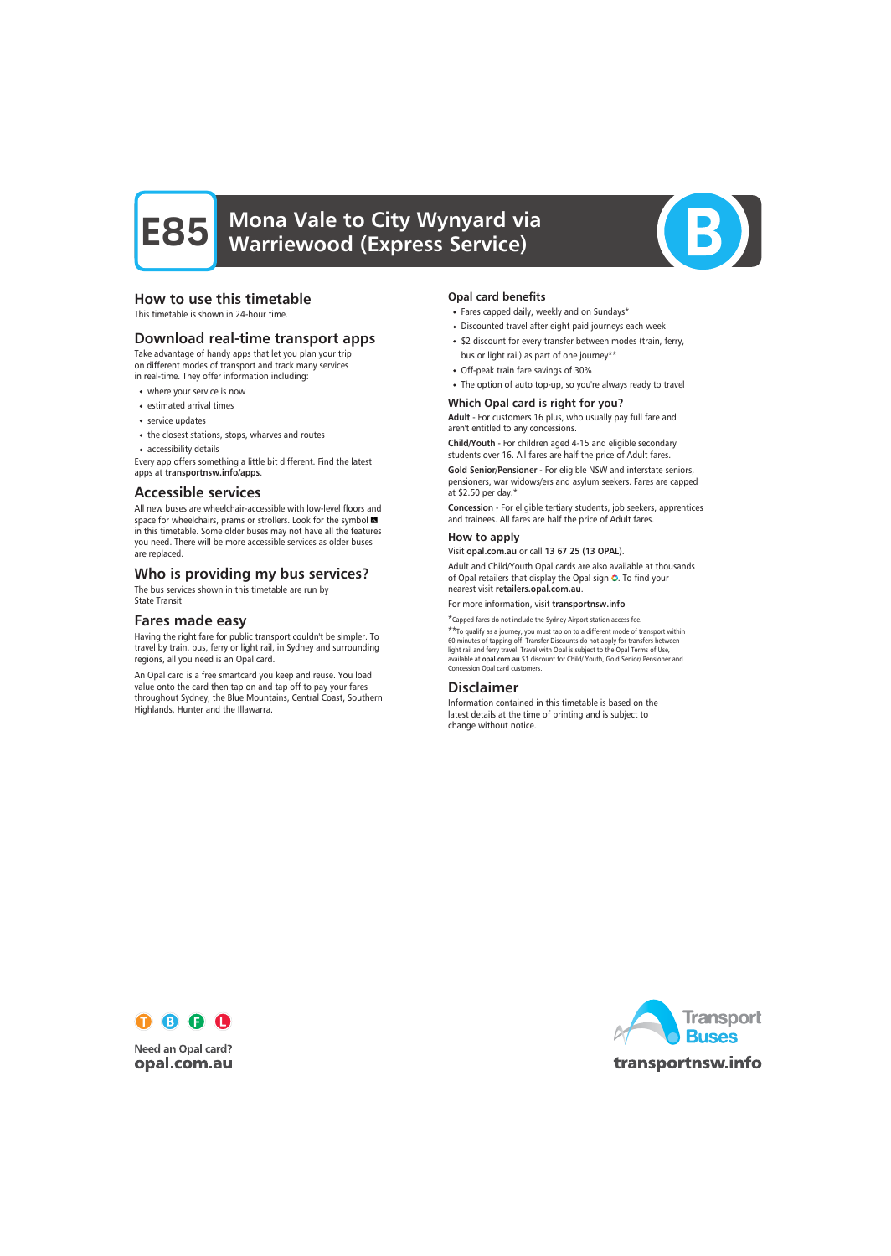# **E85** Mona Vale to City Wynyard via Warriewood (Express Service)



# How to use this timetable

This timetable is shown in 24-hour time.

# Download real-time transport apps

Take advantage of handy apps that let you plan your trip on different modes of transport and track many services in real-time. They offer information including:

- where your service is now
- estimated arrival times
- service updates
- the closest stations, stops, wharves and routes
- accessibility details

Every app offers something a little bit different. Find the latest apps at transportnsw.info/apps.

### Accessible services

All new buses are wheelchair-accessible with low-level floors and space for wheelchairs, prams or strollers. Look for the symbol in this timetable. Some older buses may not have all the features you need. There will be more accessible services as older buses are replaced.

# Who is providing my bus services?

The bus services shown in this timetable are run by State Transit

## Fares made easy

Having the right fare for public transport couldn't be simpler. To travel by train, bus, ferry or light rail, in Sydney and surrounding regions, all you need is an Opal card.

An Opal card is a free smartcard you keep and reuse. You load value onto the card then tap on and tap off to pay your fares throughout Sydney, the Blue Mountains, Central Coast, Southern Highlands, Hunter and the Illawarra.

#### Opal card benefits

- Fares capped daily, weekly and on Sundays\*
- Discounted travel after eight paid journeys each week
- \$2 discount for every transfer between modes (train, ferry, bus or light rail) as part of one journey\*\*
- Off-peak train fare savings of 30%
- The option of auto top-up, so you're always ready to travel

#### Which Opal card is right for you?

Adult - For customers 16 plus, who usually pay full fare and aren't entitled to any concessions.

Child/Youth - For children aged 4-15 and eligible secondary students over 16. All fares are half the price of Adult fares.

Gold Senior/Pensioner - For eligible NSW and interstate seniors, pensioners, war widows/ers and asylum seekers. Fares are capped at \$2.50 per day.\*

Concession - For eligible tertiary students, job seekers, apprentices and trainees. All fares are half the price of Adult fares.

#### How to apply

Visit opal.com.au or call 13 67 25 (13 OPAL).

Adult and Child/Youth Opal cards are also available at thousands of Opal retailers that display the Opal sign O. To find your nearest visit retailers.opal.com.au.

For more information, visit transportnsw.info

\*Capped fares do not include the Sydney Airport station access fee.

\*\*To qualify as a journey, you must tap on to a different mode of transport within 60 minutes of tapping off. Transfer Discounts do not apply for transfers between light rail and ferry travel. Travel with Opal is subject to the Opal Terms of Use, available at opal.com.au \$1 discount for Child/ Youth, Gold Senior/ Pensioner and Concession Opal card customers.

## Disclaimer

Information contained in this timetable is based on the latest details at the time of printing and is subject to change without notice.



**Need an Opal card?** opal.com.au

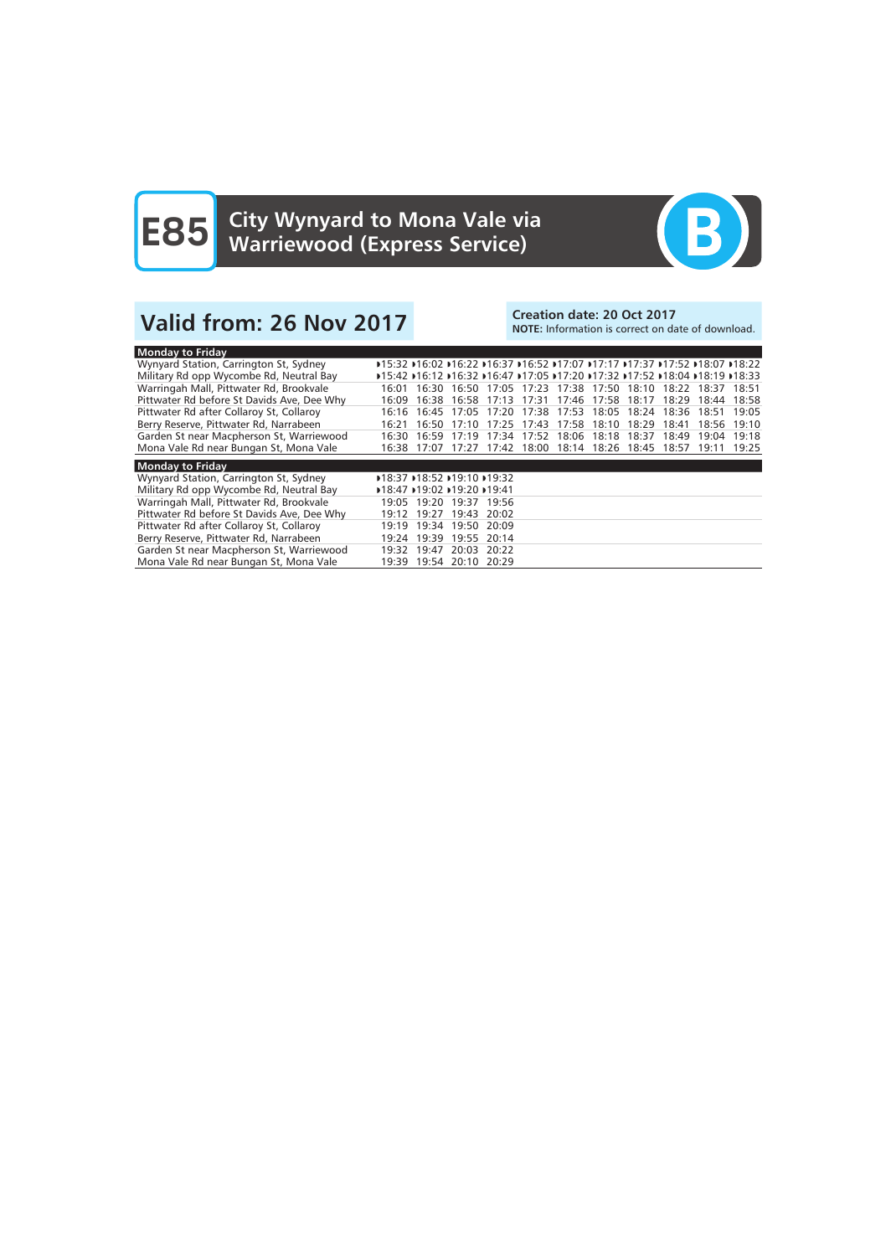

# Valid from: 26 Nov 2017<br>Note: Information is correct on date: 20 Oct 2017

# NOTE: Information is correct on date of download.

| <b>Monday to Friday</b>                    |                             |                                                                                 |       |             |                                     |             |       |                               |             |       |             |
|--------------------------------------------|-----------------------------|---------------------------------------------------------------------------------|-------|-------------|-------------------------------------|-------------|-------|-------------------------------|-------------|-------|-------------|
| Wynyard Station, Carrington St, Sydney     |                             | D15:32 D16:02 D16:22 D16:37 D16:52 D17:07 D17:17 D17:37 D17:52 D18:07 D18:22 [  |       |             |                                     |             |       |                               |             |       |             |
| Military Rd opp Wycombe Rd, Neutral Bay    |                             | D15:42 D16:12 D16:32 D16:47 D17:05 D17:20 D17:32 D17:52 D18:04 D18:19 D18:33 D1 |       |             |                                     |             |       |                               |             |       |             |
| Warringah Mall, Pittwater Rd, Brookvale    | 16:01                       | 16:30                                                                           |       |             | 16:50 17:05 17:23 17:38 17:50 18:10 |             |       |                               | 18:22 18:37 |       | 18.51       |
| Pittwater Rd before St Davids Ave, Dee Why | 16:09                       | 16:38                                                                           | 16:58 | 17:13       |                                     |             |       | 17:31 17:46 17:58 18:17       | 18:29       | 18:44 | 18:58       |
| Pittwater Rd after Collaroy St, Collaroy   | 16:16                       | 16.45                                                                           | 17:05 | 17:20       |                                     |             |       | 17:38 17:53 18:05 18:24 18:36 |             | 18:51 | 19:05       |
| Berry Reserve, Pittwater Rd, Narrabeen     | 16:21                       | 16:50                                                                           | 17:10 | 17:25       |                                     | 17:43 17:58 | 18:10 | 18:29                         | 18:41       | 18:56 | 19:10       |
| Garden St near Macpherson St, Warriewood   | 16:30                       | 16:59                                                                           | 17:19 | 17:34       |                                     | 17:52 18:06 | 18:18 | 18:37                         | 18:49       | 19:04 | 19:18       |
| Mona Vale Rd near Bungan St, Mona Vale     | 16:38                       | 17:07                                                                           | 17:27 |             | 17:42 18:00 18:14 18:26 18:45       |             |       |                               | 18:57       |       | 19:11 19:25 |
| <b>Monday to Friday</b>                    |                             |                                                                                 |       |             |                                     |             |       |                               |             |       |             |
| Wynyard Station, Carrington St, Sydney     |                             |                                                                                 |       |             |                                     |             |       |                               |             |       |             |
|                                            | D18:37 D18:52 D19:10 D19:32 |                                                                                 |       |             |                                     |             |       |                               |             |       |             |
| Military Rd opp Wycombe Rd, Neutral Bay    |                             | D18:47 D19:02 D19:20 D19:41                                                     |       |             |                                     |             |       |                               |             |       |             |
| Warringah Mall, Pittwater Rd, Brookvale    |                             | 19:05 19:20 19:37 19:56                                                         |       |             |                                     |             |       |                               |             |       |             |
| Pittwater Rd before St Davids Ave, Dee Why | 19:12                       | 19:27                                                                           | 19:43 | 20:02       |                                     |             |       |                               |             |       |             |
| Pittwater Rd after Collaroy St, Collaroy   | 19:19                       | 19:34                                                                           | 19:50 | 20:09       |                                     |             |       |                               |             |       |             |
| Berry Reserve, Pittwater Rd, Narrabeen     | 19:24                       | 19:39                                                                           | 19:55 | 20:14       |                                     |             |       |                               |             |       |             |
| Garden St near Macpherson St, Warriewood   |                             | $19:32$ $19:47$                                                                 |       | 20:03 20:22 |                                     |             |       |                               |             |       |             |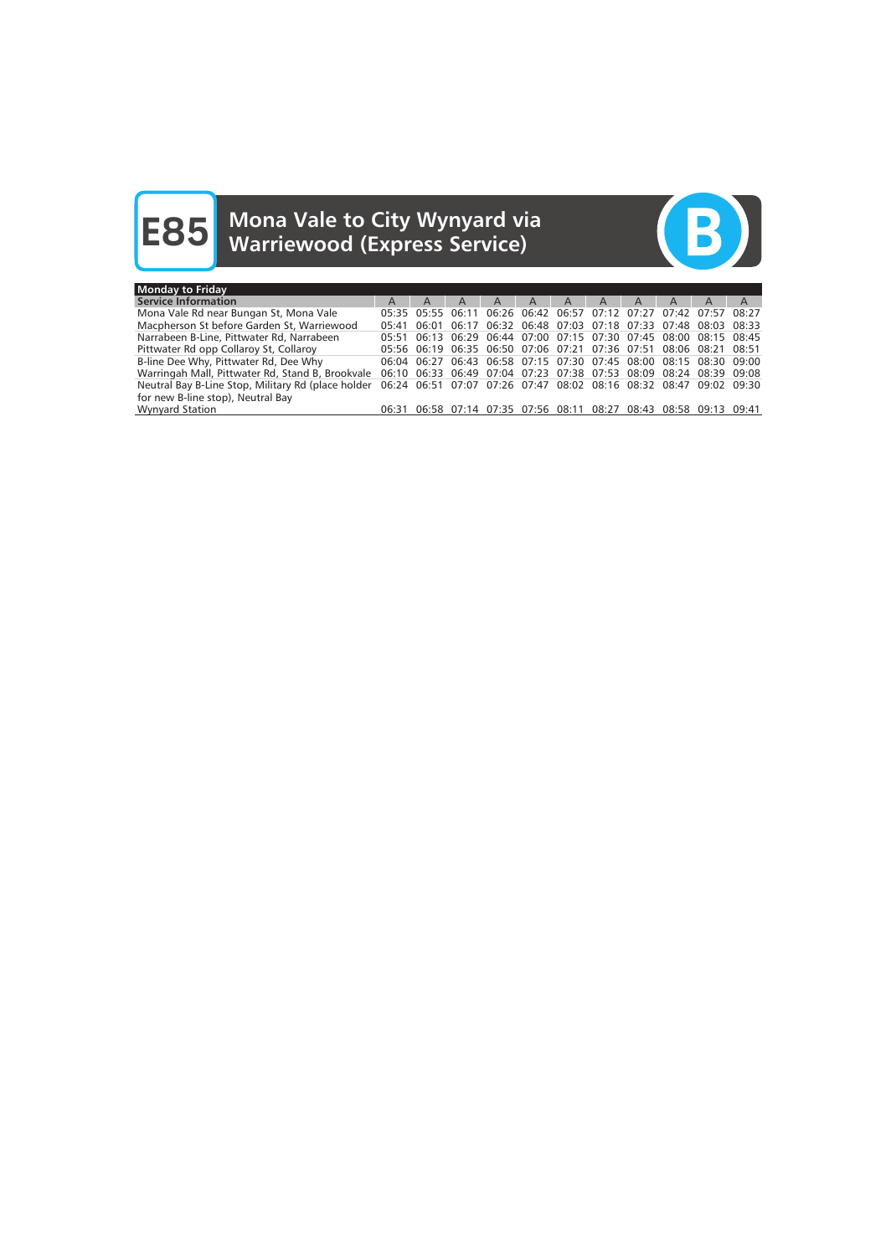# **E85** Mona Vale to City Wynyard via Warriewood (Express Service)



| <b>Monday to Friday</b>                                                                                              |       |                                                                   |   |                         |   |              |                |   |              |                                                             |   |
|----------------------------------------------------------------------------------------------------------------------|-------|-------------------------------------------------------------------|---|-------------------------|---|--------------|----------------|---|--------------|-------------------------------------------------------------|---|
| <b>Service Information</b>                                                                                           | A     | A                                                                 | A | A                       | A | $\mathsf{A}$ | $\overline{A}$ | A | $\mathsf{A}$ | A                                                           | A |
| Mona Vale Rd near Bungan St, Mona Vale                                                                               |       | 05:35 05:55 06:11 06:26 06:42 06:57 07:12 07:27 07:42 07:57 08:27 |   |                         |   |              |                |   |              |                                                             |   |
| Macpherson St before Garden St, Warriewood                                                                           | 05:41 |                                                                   |   |                         |   |              |                |   |              | 06:01 06:17 06:32 06:48 07:03 07:18 07:33 07:48 08:03 08:33 |   |
| Narrabeen B-Line, Pittwater Rd, Narrabeen                                                                            |       | 05:51 06:13 06:29 06:44 07:00 07:15 07:30 07:45 08:00 08:15 08:45 |   |                         |   |              |                |   |              |                                                             |   |
| Pittwater Rd opp Collaroy St, Collaroy                                                                               |       | 05:56 06:19 06:35 06:50 07:06 07:21 07:36 07:51 08:06 08:21 08:51 |   |                         |   |              |                |   |              |                                                             |   |
| B-line Dee Why, Pittwater Rd, Dee Why                                                                                |       | 06:04 06:27 06:43 06:58 07:15 07:30 07:45 08:00 08:15 08:30 09:00 |   |                         |   |              |                |   |              |                                                             |   |
| Warringah Mall, Pittwater Rd, Stand B, Brookvale 06:10 06:33 06:49 07:04 07:23 07:38 07:53 08:09 08:24 08:39 09:08   |       |                                                                   |   |                         |   |              |                |   |              |                                                             |   |
| Neutral Bay B-Line Stop, Military Rd (place holder 06:24 06:51 07:07 07:26 07:47 08:02 08:16 08:32 08:47 09:02 09:30 |       |                                                                   |   |                         |   |              |                |   |              |                                                             |   |
| for new B-line stop), Neutral Bay                                                                                    |       |                                                                   |   |                         |   |              |                |   |              |                                                             |   |
| <b>Wynyard Station</b>                                                                                               | 06:31 | 06:58                                                             |   | 07:14 07:35 07:56 08:11 |   |              | 08:27          |   |              | 08:43 08:58 09:13 09:41                                     |   |